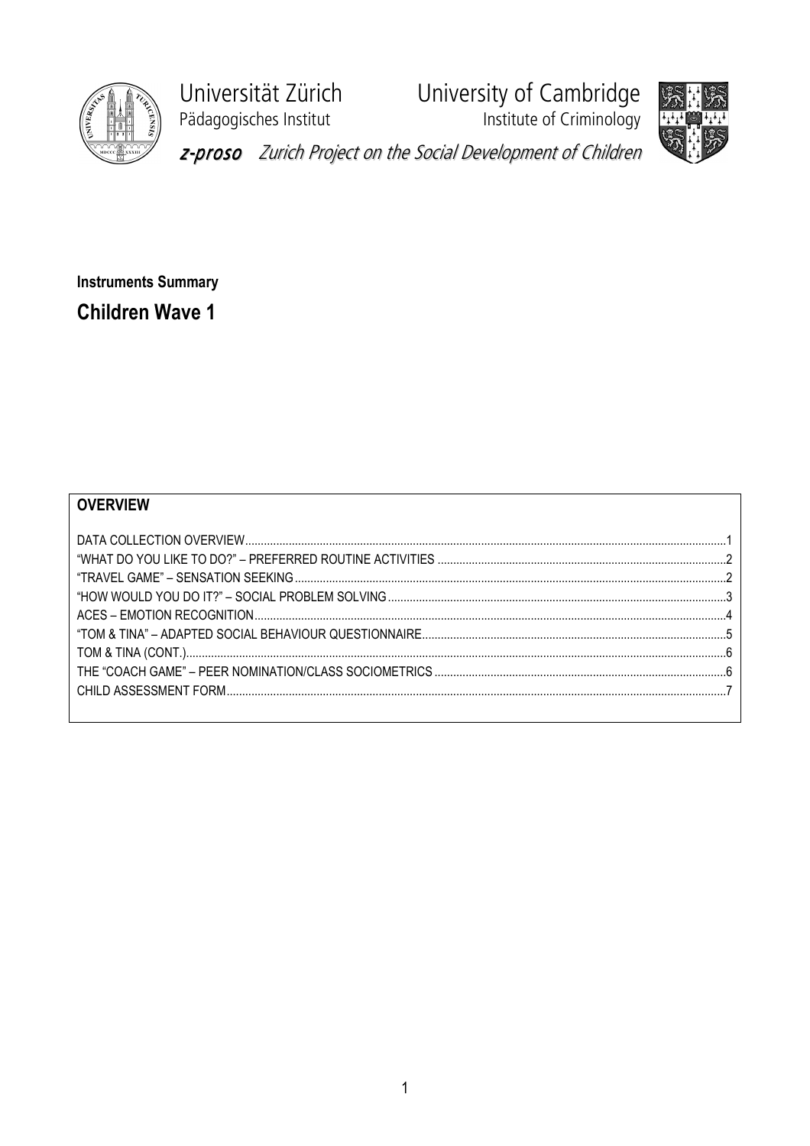

Universität Zürich Pädagogisches Institut

University of Cambridge Institute of Criminology



z-proso Zurich Project on the Social Development of Children

**Instruments Summary Children Wave 1** 

## **OVERVIEW**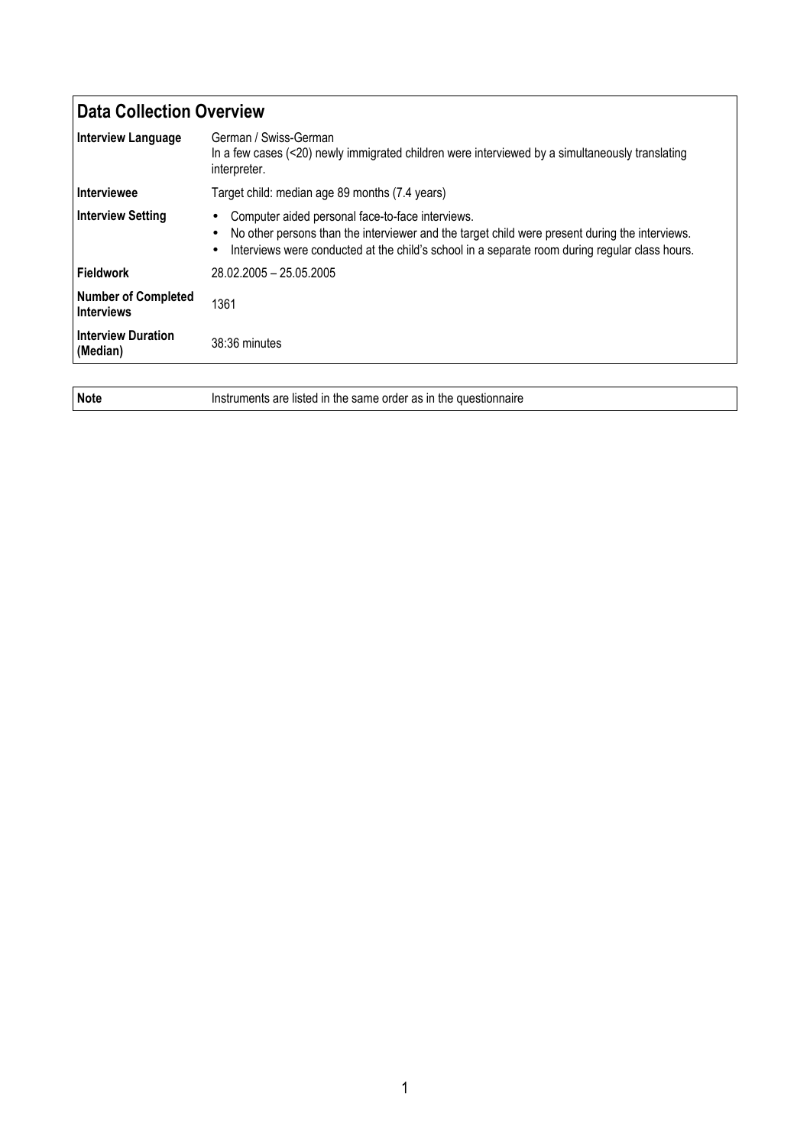| <b>Data Collection Overview</b>                 |                                                                                                                                                                                                                                                      |
|-------------------------------------------------|------------------------------------------------------------------------------------------------------------------------------------------------------------------------------------------------------------------------------------------------------|
| <b>Interview Language</b>                       | German / Swiss-German<br>In a few cases (<20) newly immigrated children were interviewed by a simultaneously translating<br>interpreter.                                                                                                             |
| <b>Interviewee</b>                              | Target child: median age 89 months (7.4 years)                                                                                                                                                                                                       |
| <b>Interview Setting</b>                        | Computer aided personal face-to-face interviews.<br>No other persons than the interviewer and the target child were present during the interviews.<br>Interviews were conducted at the child's school in a separate room during regular class hours. |
| <b>Fieldwork</b>                                | 28.02.2005 - 25.05.2005                                                                                                                                                                                                                              |
| <b>Number of Completed</b><br><b>Interviews</b> | 1361                                                                                                                                                                                                                                                 |
| <b>Interview Duration</b><br>(Median)           | 38:36 minutes                                                                                                                                                                                                                                        |
|                                                 |                                                                                                                                                                                                                                                      |

Note Instruments are listed in the same order as in the questionnaire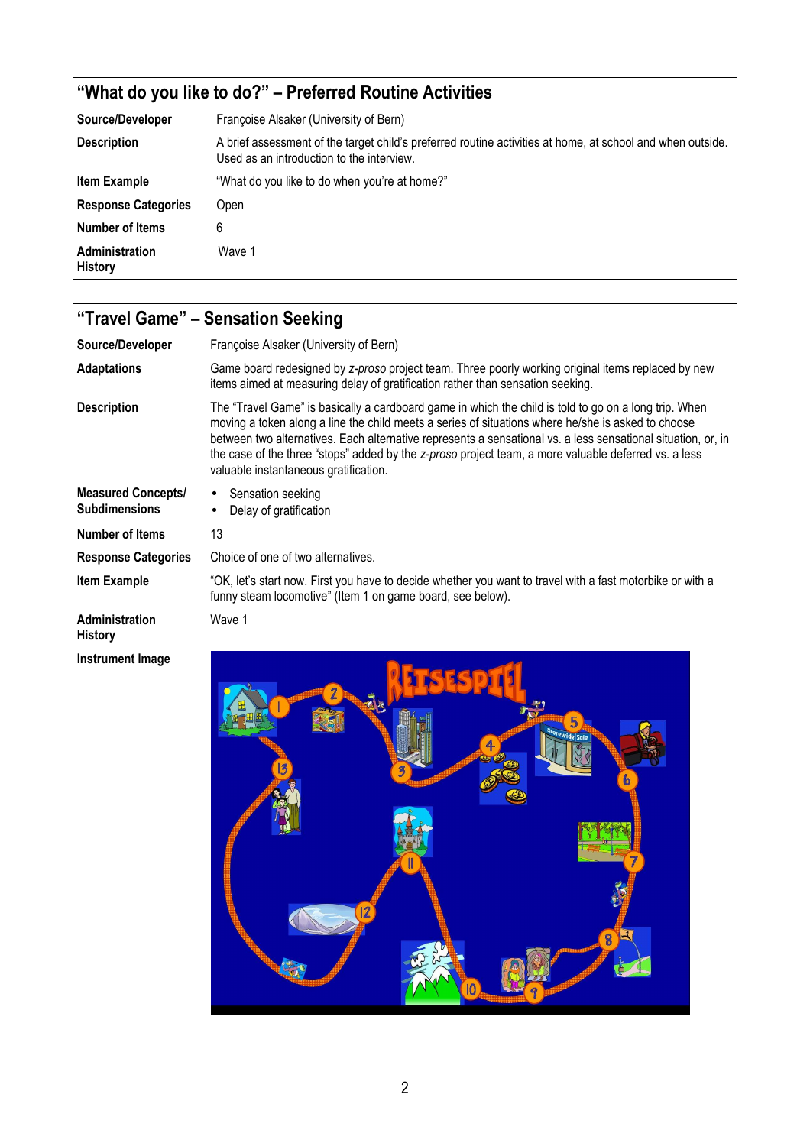## "What do you like to do?" – Preferred Routine Activities

| Source/Developer                 | Françoise Alsaker (University of Bern)                                                                                                                  |
|----------------------------------|---------------------------------------------------------------------------------------------------------------------------------------------------------|
| <b>Description</b>               | A brief assessment of the target child's preferred routine activities at home, at school and when outside.<br>Used as an introduction to the interview. |
| <b>Item Example</b>              | "What do you like to do when you're at home?"                                                                                                           |
| <b>Response Categories</b>       | Open                                                                                                                                                    |
| Number of Items                  | 6                                                                                                                                                       |
| Administration<br><b>History</b> | Wave 1                                                                                                                                                  |

| "Travel Game" - Sensation Seeking                 |                                                                                                                                                                                                                                                                                                                                                                                                                                                                              |
|---------------------------------------------------|------------------------------------------------------------------------------------------------------------------------------------------------------------------------------------------------------------------------------------------------------------------------------------------------------------------------------------------------------------------------------------------------------------------------------------------------------------------------------|
| Source/Developer                                  | Françoise Alsaker (University of Bern)                                                                                                                                                                                                                                                                                                                                                                                                                                       |
| <b>Adaptations</b>                                | Game board redesigned by z-proso project team. Three poorly working original items replaced by new<br>items aimed at measuring delay of gratification rather than sensation seeking.                                                                                                                                                                                                                                                                                         |
| <b>Description</b>                                | The "Travel Game" is basically a cardboard game in which the child is told to go on a long trip. When<br>moving a token along a line the child meets a series of situations where he/she is asked to choose<br>between two alternatives. Each alternative represents a sensational vs. a less sensational situation, or, in<br>the case of the three "stops" added by the z-proso project team, a more valuable deferred vs. a less<br>valuable instantaneous gratification. |
| <b>Measured Concepts/</b><br><b>Subdimensions</b> | Sensation seeking<br>Delay of gratification                                                                                                                                                                                                                                                                                                                                                                                                                                  |
| <b>Number of Items</b>                            | 13                                                                                                                                                                                                                                                                                                                                                                                                                                                                           |
| <b>Response Categories</b>                        | Choice of one of two alternatives.                                                                                                                                                                                                                                                                                                                                                                                                                                           |
| <b>Item Example</b>                               | "OK, let's start now. First you have to decide whether you want to travel with a fast motorbike or with a<br>funny steam locomotive" (Item 1 on game board, see below).                                                                                                                                                                                                                                                                                                      |
| Administration<br><b>History</b>                  | Wave 1                                                                                                                                                                                                                                                                                                                                                                                                                                                                       |
| <b>Instrument Image</b>                           |                                                                                                                                                                                                                                                                                                                                                                                                                                                                              |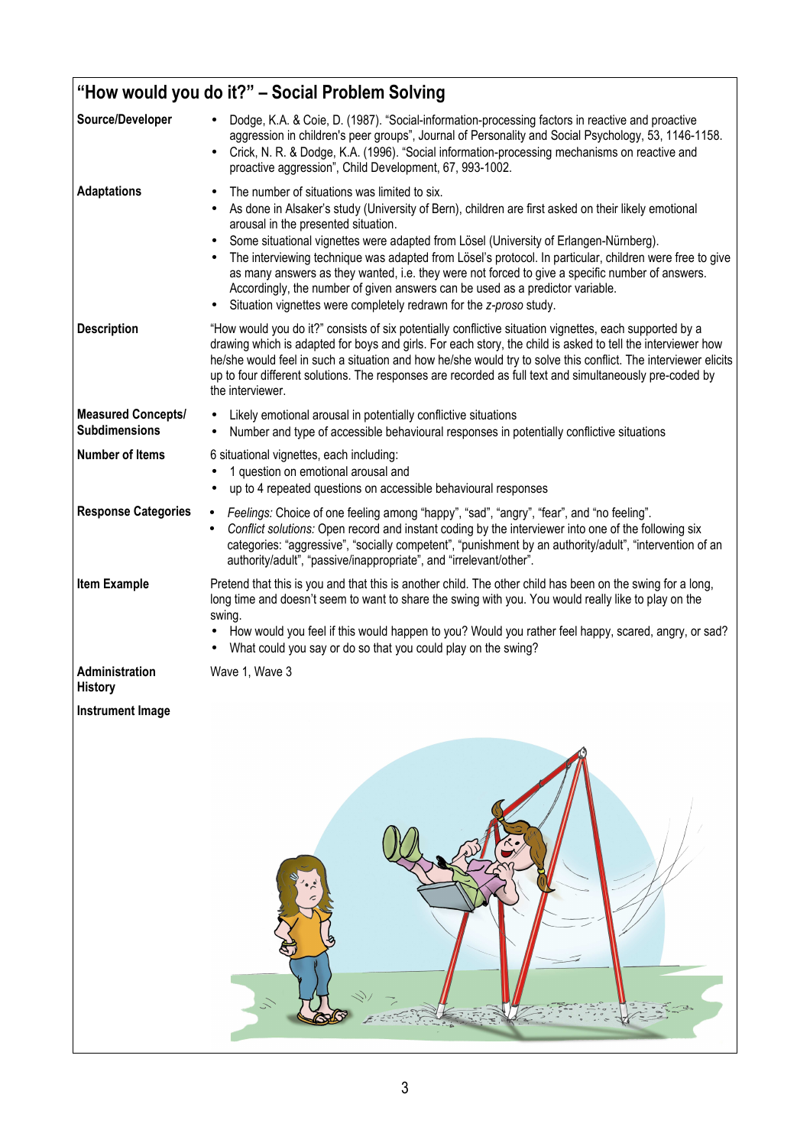| "How would you do it?" - Social Problem Solving   |                                                                                                                                                                                                                                                                                                                                                                                                                                                                                                                                                                                                                                                                                                              |
|---------------------------------------------------|--------------------------------------------------------------------------------------------------------------------------------------------------------------------------------------------------------------------------------------------------------------------------------------------------------------------------------------------------------------------------------------------------------------------------------------------------------------------------------------------------------------------------------------------------------------------------------------------------------------------------------------------------------------------------------------------------------------|
| Source/Developer                                  | Dodge, K.A. & Coie, D. (1987). "Social-information-processing factors in reactive and proactive<br>aggression in children's peer groups", Journal of Personality and Social Psychology, 53, 1146-1158.<br>Crick, N. R. & Dodge, K.A. (1996). "Social information-processing mechanisms on reactive and<br>$\bullet$<br>proactive aggression", Child Development, 67, 993-1002.                                                                                                                                                                                                                                                                                                                               |
| <b>Adaptations</b>                                | The number of situations was limited to six.<br>$\bullet$<br>As done in Alsaker's study (University of Bern), children are first asked on their likely emotional<br>$\bullet$<br>arousal in the presented situation.<br>Some situational vignettes were adapted from Lösel (University of Erlangen-Nürnberg).<br>$\bullet$<br>The interviewing technique was adapted from Lösel's protocol. In particular, children were free to give<br>$\bullet$<br>as many answers as they wanted, i.e. they were not forced to give a specific number of answers.<br>Accordingly, the number of given answers can be used as a predictor variable.<br>Situation vignettes were completely redrawn for the z-proso study. |
| <b>Description</b>                                | "How would you do it?" consists of six potentially conflictive situation vignettes, each supported by a<br>drawing which is adapted for boys and girls. For each story, the child is asked to tell the interviewer how<br>he/she would feel in such a situation and how he/she would try to solve this conflict. The interviewer elicits<br>up to four different solutions. The responses are recorded as full text and simultaneously pre-coded by<br>the interviewer.                                                                                                                                                                                                                                      |
| <b>Measured Concepts/</b><br><b>Subdimensions</b> | Likely emotional arousal in potentially conflictive situations<br>Number and type of accessible behavioural responses in potentially conflictive situations                                                                                                                                                                                                                                                                                                                                                                                                                                                                                                                                                  |
| <b>Number of Items</b>                            | 6 situational vignettes, each including:<br>1 question on emotional arousal and<br>up to 4 repeated questions on accessible behavioural responses<br>$\bullet$                                                                                                                                                                                                                                                                                                                                                                                                                                                                                                                                               |
| <b>Response Categories</b>                        | Feelings: Choice of one feeling among "happy", "sad", "angry", "fear", and "no feeling".<br>Conflict solutions: Open record and instant coding by the interviewer into one of the following six<br>$\bullet$<br>categories: "aggressive", "socially competent", "punishment by an authority/adult", "intervention of an<br>authority/adult", "passive/inappropriate", and "irrelevant/other".                                                                                                                                                                                                                                                                                                                |
| <b>Item Example</b>                               | Pretend that this is you and that this is another child. The other child has been on the swing for a long,<br>long time and doesn't seem to want to share the swing with you. You would really like to play on the<br>swing.<br>How would you feel if this would happen to you? Would you rather feel happy, scared, angry, or sad?<br>What could you say or do so that you could play on the swing?                                                                                                                                                                                                                                                                                                         |
| Administration<br><b>History</b>                  | Wave 1, Wave 3                                                                                                                                                                                                                                                                                                                                                                                                                                                                                                                                                                                                                                                                                               |
| <b>Instrument Image</b>                           |                                                                                                                                                                                                                                                                                                                                                                                                                                                                                                                                                                                                                                                                                                              |
|                                                   |                                                                                                                                                                                                                                                                                                                                                                                                                                                                                                                                                                                                                                                                                                              |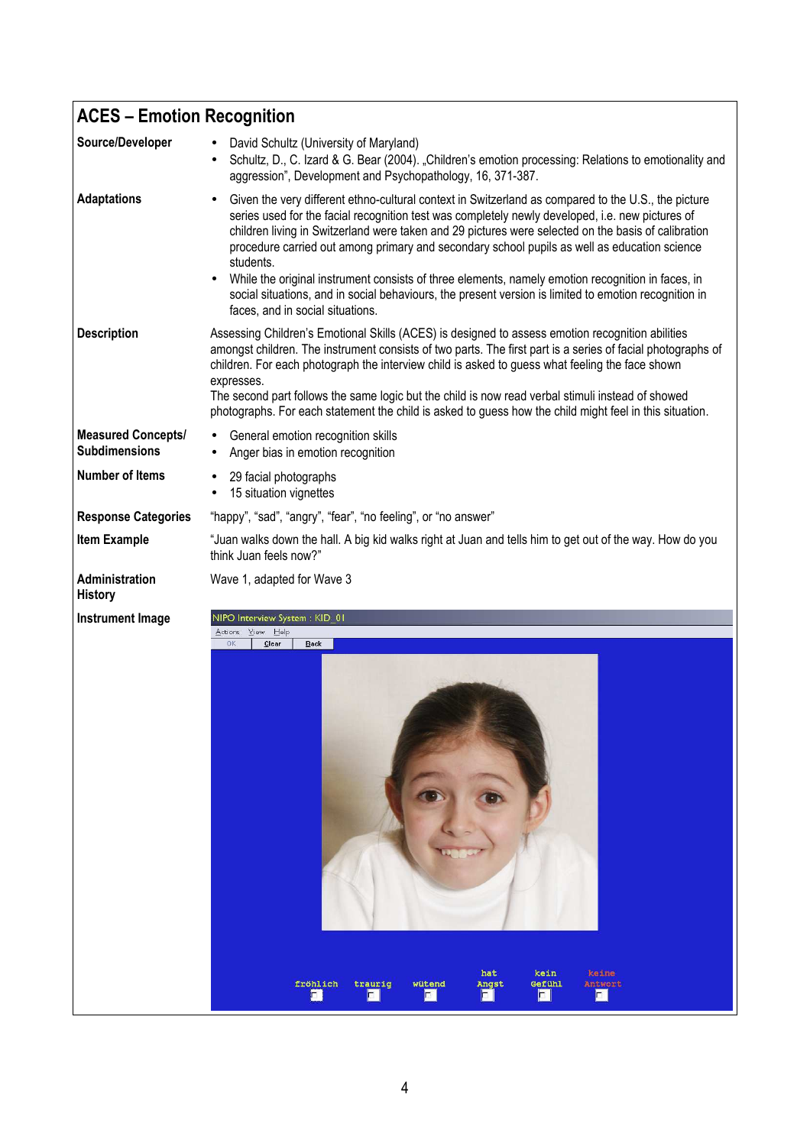| <b>ACES - Emotion Recognition</b>                 |                                                                                                                                                                                                                                                                                                                                                                                                                                                                                                                                                                                                                                                                                            |
|---------------------------------------------------|--------------------------------------------------------------------------------------------------------------------------------------------------------------------------------------------------------------------------------------------------------------------------------------------------------------------------------------------------------------------------------------------------------------------------------------------------------------------------------------------------------------------------------------------------------------------------------------------------------------------------------------------------------------------------------------------|
| Source/Developer                                  | David Schultz (University of Maryland)<br>Schultz, D., C. Izard & G. Bear (2004). "Children's emotion processing: Relations to emotionality and<br>$\bullet$<br>aggression", Development and Psychopathology, 16, 371-387.                                                                                                                                                                                                                                                                                                                                                                                                                                                                 |
| <b>Adaptations</b>                                | Given the very different ethno-cultural context in Switzerland as compared to the U.S., the picture<br>$\bullet$<br>series used for the facial recognition test was completely newly developed, i.e. new pictures of<br>children living in Switzerland were taken and 29 pictures were selected on the basis of calibration<br>procedure carried out among primary and secondary school pupils as well as education science<br>students.<br>While the original instrument consists of three elements, namely emotion recognition in faces, in<br>social situations, and in social behaviours, the present version is limited to emotion recognition in<br>faces, and in social situations. |
| <b>Description</b>                                | Assessing Children's Emotional Skills (ACES) is designed to assess emotion recognition abilities<br>amongst children. The instrument consists of two parts. The first part is a series of facial photographs of<br>children. For each photograph the interview child is asked to guess what feeling the face shown<br>expresses.<br>The second part follows the same logic but the child is now read verbal stimuli instead of showed<br>photographs. For each statement the child is asked to guess how the child might feel in this situation.                                                                                                                                           |
| <b>Measured Concepts/</b><br><b>Subdimensions</b> | General emotion recognition skills<br>Anger bias in emotion recognition                                                                                                                                                                                                                                                                                                                                                                                                                                                                                                                                                                                                                    |
| <b>Number of Items</b>                            | 29 facial photographs<br>15 situation vignettes                                                                                                                                                                                                                                                                                                                                                                                                                                                                                                                                                                                                                                            |
| <b>Response Categories</b>                        | "happy", "sad", "angry", "fear", "no feeling", or "no answer"                                                                                                                                                                                                                                                                                                                                                                                                                                                                                                                                                                                                                              |
| <b>Item Example</b>                               | "Juan walks down the hall. A big kid walks right at Juan and tells him to get out of the way. How do you<br>think Juan feels now?"                                                                                                                                                                                                                                                                                                                                                                                                                                                                                                                                                         |
| Administration<br><b>History</b>                  | Wave 1, adapted for Wave 3                                                                                                                                                                                                                                                                                                                                                                                                                                                                                                                                                                                                                                                                 |
| <b>Instrument Image</b>                           | NIPO Interview System: KID 01                                                                                                                                                                                                                                                                                                                                                                                                                                                                                                                                                                                                                                                              |
|                                                   | View Help<br>Actions<br>0K<br>Clear<br>Back<br>hat<br>kein<br>keine<br>fröhlich<br>trauriq<br>wütend<br>Gefühl<br>Angst<br>Antwort                                                                                                                                                                                                                                                                                                                                                                                                                                                                                                                                                         |
|                                                   | o i<br>п<br>п                                                                                                                                                                                                                                                                                                                                                                                                                                                                                                                                                                                                                                                                              |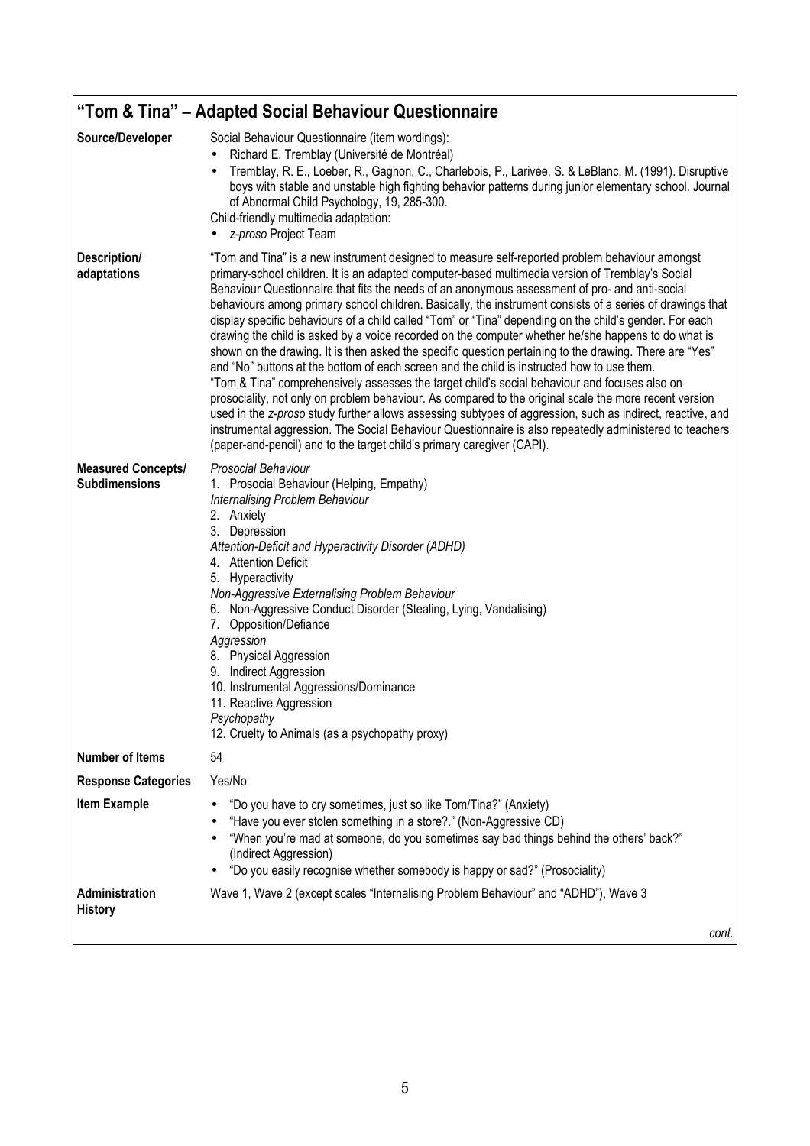| "Tom & Tina" – Adapted Social Behaviour Questionnaire |                                                                                                                                                                                                                                                                                                                                                                                                                                                                                                                                                                                                                                                                                                                                                                                                                                                                                                                                                                                                                                                                                                                                                                                                                                                                                                                                                            |
|-------------------------------------------------------|------------------------------------------------------------------------------------------------------------------------------------------------------------------------------------------------------------------------------------------------------------------------------------------------------------------------------------------------------------------------------------------------------------------------------------------------------------------------------------------------------------------------------------------------------------------------------------------------------------------------------------------------------------------------------------------------------------------------------------------------------------------------------------------------------------------------------------------------------------------------------------------------------------------------------------------------------------------------------------------------------------------------------------------------------------------------------------------------------------------------------------------------------------------------------------------------------------------------------------------------------------------------------------------------------------------------------------------------------------|
| Source/Developer                                      | Social Behaviour Questionnaire (item wordings):<br>Richard E. Tremblay (Université de Montréal)<br>Tremblay, R. E., Loeber, R., Gagnon, C., Charlebois, P., Larivee, S. & LeBlanc, M. (1991). Disruptive<br>boys with stable and unstable high fighting behavior patterns during junior elementary school. Journal<br>of Abnormal Child Psychology, 19, 285-300.<br>Child-friendly multimedia adaptation:<br>z-proso Project Team                                                                                                                                                                                                                                                                                                                                                                                                                                                                                                                                                                                                                                                                                                                                                                                                                                                                                                                          |
| Description/<br>adaptations                           | "Tom and Tina" is a new instrument designed to measure self-reported problem behaviour amongst<br>primary-school children. It is an adapted computer-based multimedia version of Tremblay's Social<br>Behaviour Questionnaire that fits the needs of an anonymous assessment of pro- and anti-social<br>behaviours among primary school children. Basically, the instrument consists of a series of drawings that<br>display specific behaviours of a child called "Tom" or "Tina" depending on the child's gender. For each<br>drawing the child is asked by a voice recorded on the computer whether he/she happens to do what is<br>shown on the drawing. It is then asked the specific question pertaining to the drawing. There are "Yes"<br>and "No" buttons at the bottom of each screen and the child is instructed how to use them.<br>"Tom & Tina" comprehensively assesses the target child's social behaviour and focuses also on<br>prosociality, not only on problem behaviour. As compared to the original scale the more recent version<br>used in the z-proso study further allows assessing subtypes of aggression, such as indirect, reactive, and<br>instrumental aggression. The Social Behaviour Questionnaire is also repeatedly administered to teachers<br>(paper-and-pencil) and to the target child's primary caregiver (CAPI). |
| <b>Measured Concepts/</b><br><b>Subdimensions</b>     | Prosocial Behaviour<br>1. Prosocial Behaviour (Helping, Empathy)<br>Internalising Problem Behaviour<br>2. Anxiety<br>3. Depression<br>Attention-Deficit and Hyperactivity Disorder (ADHD)<br>4. Attention Deficit<br>5. Hyperactivity<br>Non-Aggressive Externalising Problem Behaviour<br>6. Non-Aggressive Conduct Disorder (Stealing, Lying, Vandalising)<br>Opposition/Defiance<br>7.<br>Aggression<br>8. Physical Aggression<br>9. Indirect Aggression<br>10. Instrumental Aggressions/Dominance<br>11. Reactive Aggression<br>Psychopathy<br>12. Cruelty to Animals (as a psychopathy proxy)                                                                                                                                                                                                                                                                                                                                                                                                                                                                                                                                                                                                                                                                                                                                                         |
| <b>Number of Items</b>                                | 54                                                                                                                                                                                                                                                                                                                                                                                                                                                                                                                                                                                                                                                                                                                                                                                                                                                                                                                                                                                                                                                                                                                                                                                                                                                                                                                                                         |
| <b>Response Categories</b>                            | Yes/No                                                                                                                                                                                                                                                                                                                                                                                                                                                                                                                                                                                                                                                                                                                                                                                                                                                                                                                                                                                                                                                                                                                                                                                                                                                                                                                                                     |
| <b>Item Example</b>                                   | "Do you have to cry sometimes, just so like Tom/Tina?" (Anxiety)<br>"Have you ever stolen something in a store?." (Non-Aggressive CD)<br>"When you're mad at someone, do you sometimes say bad things behind the others' back?"<br>(Indirect Aggression)<br>"Do you easily recognise whether somebody is happy or sad?" (Prosociality)                                                                                                                                                                                                                                                                                                                                                                                                                                                                                                                                                                                                                                                                                                                                                                                                                                                                                                                                                                                                                     |
| Administration<br><b>History</b>                      | Wave 1, Wave 2 (except scales "Internalising Problem Behaviour" and "ADHD"), Wave 3                                                                                                                                                                                                                                                                                                                                                                                                                                                                                                                                                                                                                                                                                                                                                                                                                                                                                                                                                                                                                                                                                                                                                                                                                                                                        |
|                                                       | cont.                                                                                                                                                                                                                                                                                                                                                                                                                                                                                                                                                                                                                                                                                                                                                                                                                                                                                                                                                                                                                                                                                                                                                                                                                                                                                                                                                      |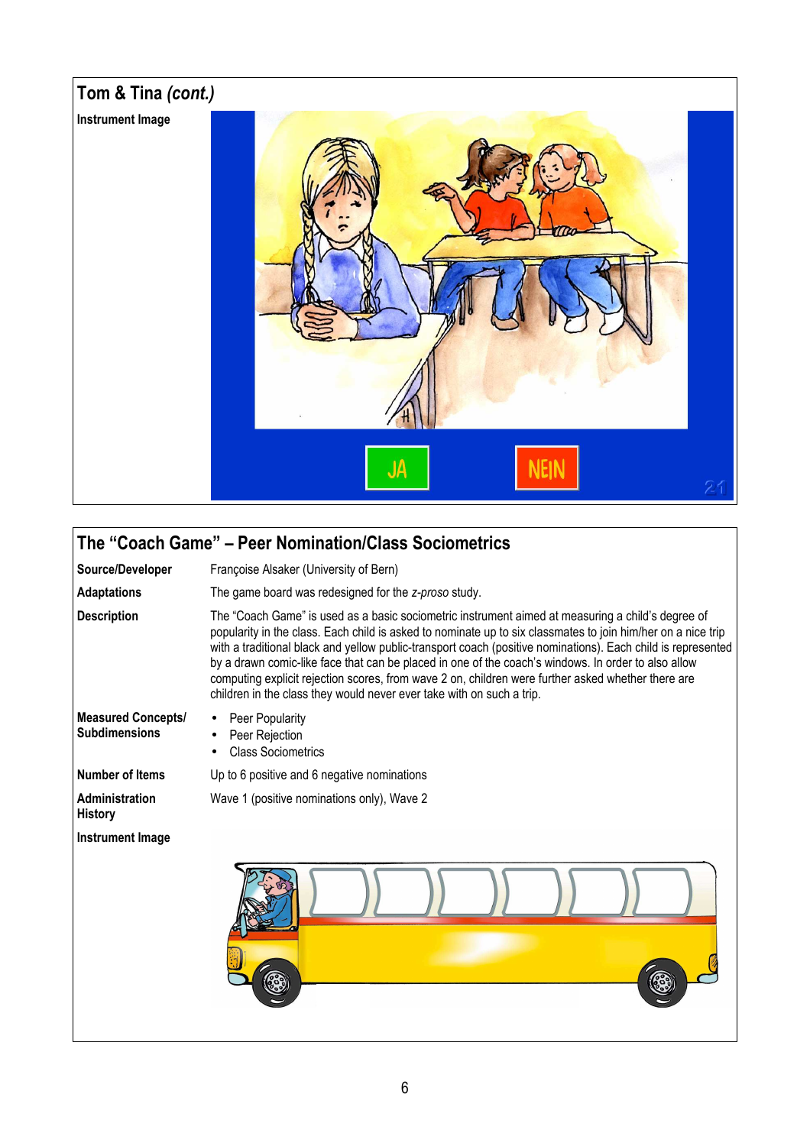

## The "Coach Game" – Peer Nomination/Class Sociometrics

Source/Developer Françoise Alsaker (University of Bern)

Adaptations The game board was redesigned for the z-proso study.

Wave 1 (positive nominations only), Wave 2

Description The "Coach Game" is used as a basic sociometric instrument aimed at measuring a child's degree of popularity in the class. Each child is asked to nominate up to six classmates to join him/her on a nice trip with a traditional black and yellow public-transport coach (positive nominations). Each child is represented by a drawn comic-like face that can be placed in one of the coach's windows. In order to also allow computing explicit rejection scores, from wave 2 on, children were further asked whether there are children in the class they would never ever take with on such a trip.

- Measured Concepts/ Subdimensions
- Peer Popularity Peer Rejection
- Class Sociometrics

Number of Items Up to 6 positive and 6 negative nominations

**Administration** History

Instrument Image